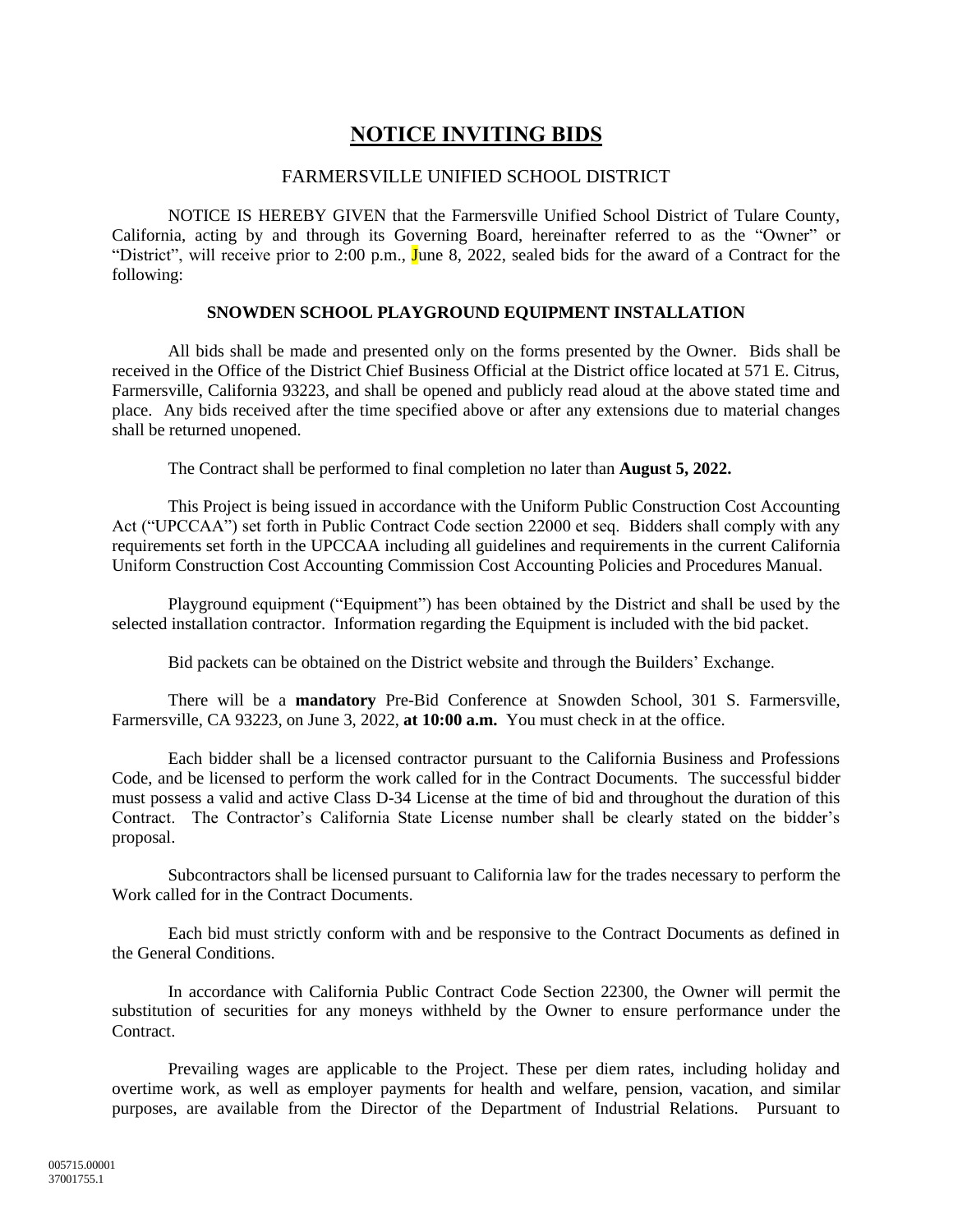## **NOTICE INVITING BIDS**

## FARMERSVILLE UNIFIED SCHOOL DISTRICT

NOTICE IS HEREBY GIVEN that the Farmersville Unified School District of Tulare County, California, acting by and through its Governing Board, hereinafter referred to as the "Owner" or "District", will receive prior to 2:00 p.m., June 8, 2022, sealed bids for the award of a Contract for the following:

## **SNOWDEN SCHOOL PLAYGROUND EQUIPMENT INSTALLATION**

All bids shall be made and presented only on the forms presented by the Owner. Bids shall be received in the Office of the District Chief Business Official at the District office located at 571 E. Citrus, Farmersville, California 93223, and shall be opened and publicly read aloud at the above stated time and place. Any bids received after the time specified above or after any extensions due to material changes shall be returned unopened.

The Contract shall be performed to final completion no later than **August 5, 2022.**

This Project is being issued in accordance with the Uniform Public Construction Cost Accounting Act ("UPCCAA") set forth in Public Contract Code section 22000 et seq. Bidders shall comply with any requirements set forth in the UPCCAA including all guidelines and requirements in the current California Uniform Construction Cost Accounting Commission Cost Accounting Policies and Procedures Manual.

Playground equipment ("Equipment") has been obtained by the District and shall be used by the selected installation contractor. Information regarding the Equipment is included with the bid packet.

Bid packets can be obtained on the District website and through the Builders' Exchange.

There will be a **mandatory** Pre-Bid Conference at Snowden School, 301 S. Farmersville, Farmersville, CA 93223, on June 3, 2022, **at 10:00 a.m.** You must check in at the office.

Each bidder shall be a licensed contractor pursuant to the California Business and Professions Code, and be licensed to perform the work called for in the Contract Documents. The successful bidder must possess a valid and active Class D-34 License at the time of bid and throughout the duration of this Contract. The Contractor's California State License number shall be clearly stated on the bidder's proposal.

Subcontractors shall be licensed pursuant to California law for the trades necessary to perform the Work called for in the Contract Documents.

Each bid must strictly conform with and be responsive to the Contract Documents as defined in the General Conditions.

In accordance with California Public Contract Code Section 22300, the Owner will permit the substitution of securities for any moneys withheld by the Owner to ensure performance under the Contract.

Prevailing wages are applicable to the Project. These per diem rates, including holiday and overtime work, as well as employer payments for health and welfare, pension, vacation, and similar purposes, are available from the Director of the Department of Industrial Relations. Pursuant to